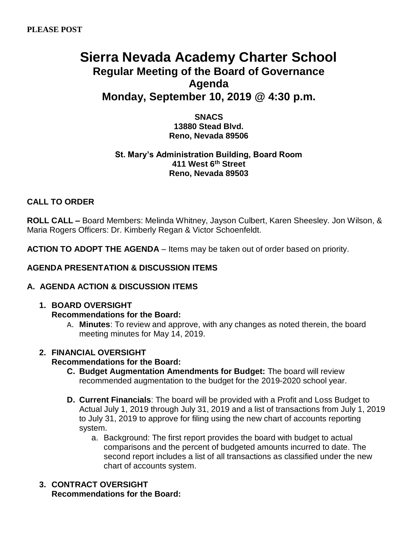# **Sierra Nevada Academy Charter School Regular Meeting of the Board of Governance Agenda Monday, September 10, 2019 @ 4:30 p.m.**

**SNACS 13880 Stead Blvd. Reno, Nevada 89506**

### **St. Mary's Administration Building, Board Room 411 West 6th Street Reno, Nevada 89503**

### **CALL TO ORDER**

**ROLL CALL –** Board Members: Melinda Whitney, Jayson Culbert, Karen Sheesley. Jon Wilson, & Maria Rogers Officers: Dr. Kimberly Regan & Victor Schoenfeldt.

**ACTION TO ADOPT THE AGENDA** – Items may be taken out of order based on priority.

### **AGENDA PRESENTATION & DISCUSSION ITEMS**

### **A. AGENDA ACTION & DISCUSSION ITEMS**

### **1. BOARD OVERSIGHT**

- **Recommendations for the Board:** 
	- A. **Minutes**: To review and approve, with any changes as noted therein, the board meeting minutes for May 14, 2019.

### **2. FINANCIAL OVERSIGHT**

### **Recommendations for the Board:**

- **C. Budget Augmentation Amendments for Budget:** The board will review recommended augmentation to the budget for the 2019-2020 school year.
- **D. Current Financials**: The board will be provided with a Profit and Loss Budget to Actual July 1, 2019 through July 31, 2019 and a list of transactions from July 1, 2019 to July 31, 2019 to approve for filing using the new chart of accounts reporting system.
	- a. Background: The first report provides the board with budget to actual comparisons and the percent of budgeted amounts incurred to date. The second report includes a list of all transactions as classified under the new chart of accounts system.
- **3. CONTRACT OVERSIGHT Recommendations for the Board:**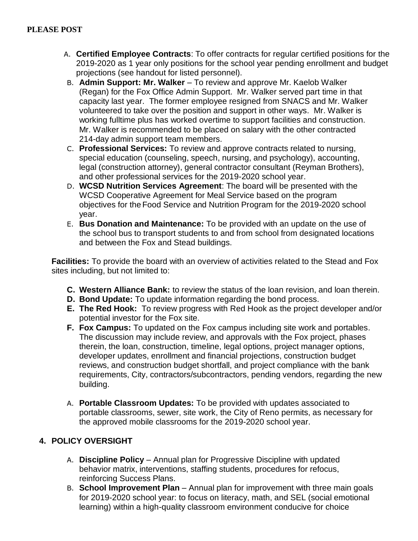- A. **Certified Employee Contracts**: To offer contracts for regular certified positions for the 2019-2020 as 1 year only positions for the school year pending enrollment and budget projections (see handout for listed personnel).
- B. **Admin Support: Mr. Walker** To review and approve Mr. Kaelob Walker (Regan) for the Fox Office Admin Support. Mr. Walker served part time in that capacity last year. The former employee resigned from SNACS and Mr. Walker volunteered to take over the position and support in other ways. Mr. Walker is working fulltime plus has worked overtime to support facilities and construction. Mr. Walker is recommended to be placed on salary with the other contracted 214-day admin support team members.
- C. **Professional Services:** To review and approve contracts related to nursing, special education (counseling, speech, nursing, and psychology), accounting, legal (construction attorney), general contractor consultant (Reyman Brothers), and other professional services for the 2019-2020 school year.
- D. **WCSD Nutrition Services Agreement**: The board will be presented with the WCSD Cooperative Agreement for Meal Service based on the program objectives for the Food Service and Nutrition Program for the 2019-2020 school year.
- E. **Bus Donation and Maintenance:** To be provided with an update on the use of the school bus to transport students to and from school from designated locations and between the Fox and Stead buildings.

**Facilities:** To provide the board with an overview of activities related to the Stead and Fox sites including, but not limited to:

- **C. Western Alliance Bank:** to review the status of the loan revision, and loan therein.
- **D. Bond Update:** To update information regarding the bond process.
- **E. The Red Hook:** To review progress with Red Hook as the project developer and/or potential investor for the Fox site.
- **F. Fox Campus:** To updated on the Fox campus including site work and portables. The discussion may include review, and approvals with the Fox project, phases therein, the loan, construction, timeline, legal options, project manager options, developer updates, enrollment and financial projections, construction budget reviews, and construction budget shortfall, and project compliance with the bank requirements, City, contractors/subcontractors, pending vendors, regarding the new building.
- A. **Portable Classroom Updates:** To be provided with updates associated to portable classrooms, sewer, site work, the City of Reno permits, as necessary for the approved mobile classrooms for the 2019-2020 school year.

## **4. POLICY OVERSIGHT**

- A. **Discipline Policy**  Annual plan for Progressive Discipline with updated behavior matrix, interventions, staffing students, procedures for refocus, reinforcing Success Plans.
- B. **School Improvement Plan** Annual plan for improvement with three main goals for 2019-2020 school year: to focus on literacy, math, and SEL (social emotional learning) within a high-quality classroom environment conducive for choice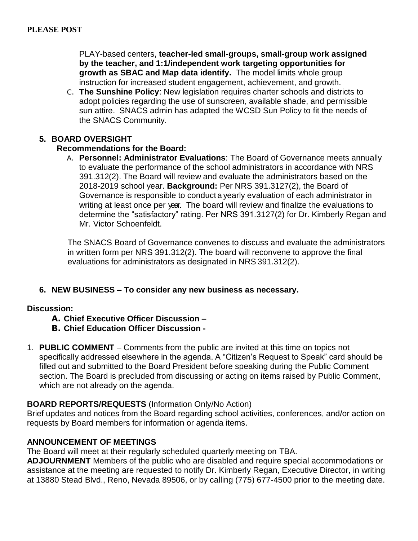PLAY-based centers, **teacher-led small-groups, small-group work assigned by the teacher, and 1:1/independent work targeting opportunities for growth as SBAC and Map data identify.** The model limits whole group instruction for increased student engagement, achievement, and growth.

C. **The Sunshine Policy**: New legislation requires charter schools and districts to adopt policies regarding the use of sunscreen, available shade, and permissible sun attire. SNACS admin has adapted the WCSD Sun Policy to fit the needs of the SNACS Community.

### **5. BOARD OVERSIGHT**

### **Recommendations for the Board:**

A. **Personnel: Administrator Evaluations**: The Board of Governance meets annually to evaluate the performance of the school administrators in accordance with NRS 391.312(2). The Board will review and evaluate the administrators based on the 2018-2019 school year. **Background:** Per NRS 391.3127(2), the Board of Governance is responsible to conduct a yearly evaluation of each administrator in writing at least once per year. The board will review and finalize the evaluations to determine the "satisfactory" rating. Per NRS 391.3127(2) for Dr. Kimberly Regan and Mr. Victor Schoenfeldt.

The SNACS Board of Governance convenes to discuss and evaluate the administrators in written form per NRS 391.312(2). The board will reconvene to approve the final evaluations for administrators as designated in NRS 391.312(2).

### **6. NEW BUSINESS – To consider any new business as necessary.**

#### **Discussion:**

### **A. Chief Executive Officer Discussion –**

- **B. Chief Education Officer Discussion -**
- 1. **PUBLIC COMMENT** Comments from the public are invited at this time on topics not specifically addressed elsewhere in the agenda. A "Citizen's Request to Speak" card should be filled out and submitted to the Board President before speaking during the Public Comment section. The Board is precluded from discussing or acting on items raised by Public Comment, which are not already on the agenda.

### **BOARD REPORTS/REQUESTS** (Information Only/No Action)

Brief updates and notices from the Board regarding school activities, conferences, and/or action on requests by Board members for information or agenda items.

### **ANNOUNCEMENT OF MEETINGS**

The Board will meet at their regularly scheduled quarterly meeting on TBA.

**ADJOURNMENT** Members of the public who are disabled and require special accommodations or assistance at the meeting are requested to notify Dr. Kimberly Regan, Executive Director, in writing at 13880 Stead Blvd., Reno, Nevada 89506, or by calling (775) 677-4500 prior to the meeting date.